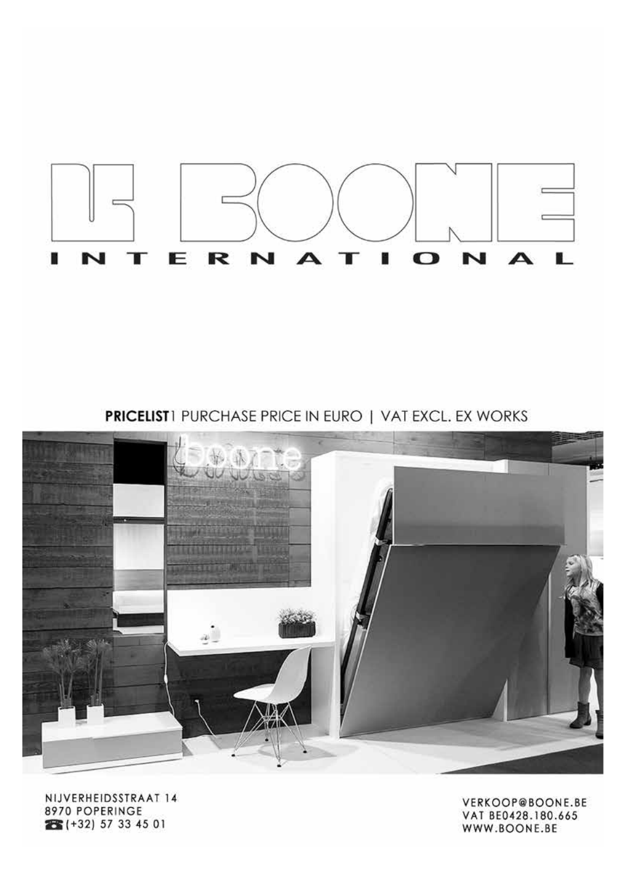

**PRICELIST**1 PURCHASE PRICE IN EURO | VAT EXCL. EX WORKS



NIJVERHEIDSSTRAAT 14 8970 POPERINGE 26 (+32) 57 33 45 01

VERKOOP@BOONE.BE VAT BE0428.180.665 WWW.BOONE.BE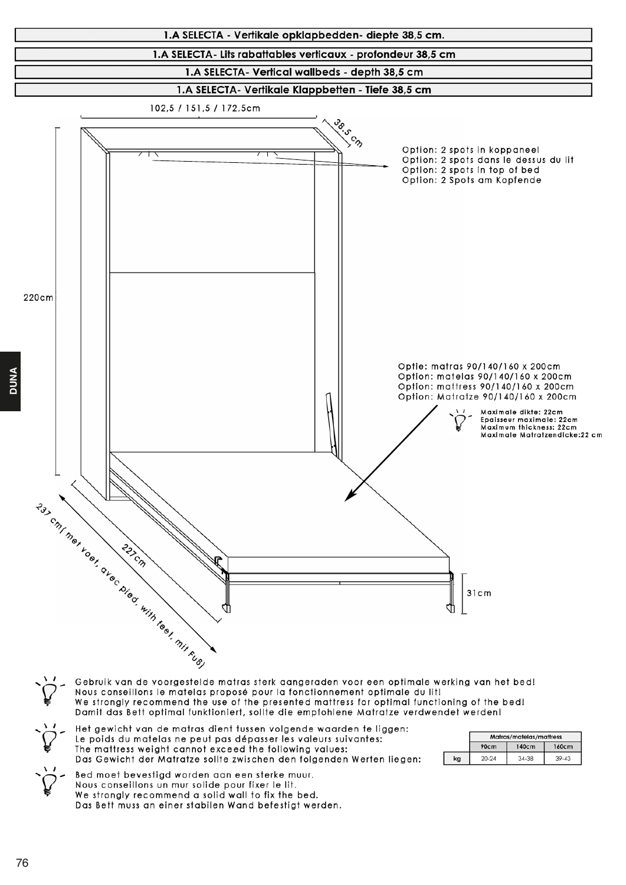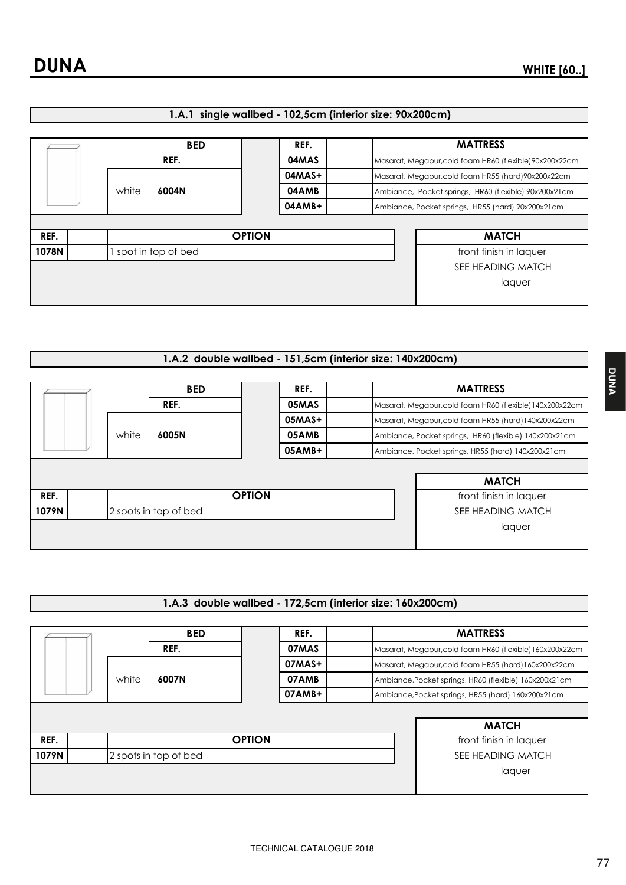| 1.A.1 single wallbed - 102,5cm (interior size: 90x200cm) |  |  |
|----------------------------------------------------------|--|--|
|                                                          |  |  |

|       |       |  |                    | <b>BED</b>    | REF.   |                                                       | <b>MATTRESS</b>                                         |
|-------|-------|--|--------------------|---------------|--------|-------------------------------------------------------|---------------------------------------------------------|
|       |       |  | REF.               |               | 04MAS  |                                                       | Masarat, Megapur, cold foam HR60 (flexible) 90x200x22cm |
|       |       |  |                    |               | 04MAS+ |                                                       | Masarat, Megapur, cold foam HR55 (hard) 90x200x22cm     |
|       | white |  | 6004N              | 04AMB         |        | Ambiance, Pocket springs, HR60 (flexible) 90x200x21cm |                                                         |
|       |       |  |                    |               | 04AMB+ |                                                       | Ambiance, Pocket springs, HR55 (hard) 90x200x21cm       |
|       |       |  |                    |               |        |                                                       |                                                         |
| REF.  |       |  |                    | <b>OPTION</b> |        |                                                       | <b>MATCH</b>                                            |
| 1078N |       |  | spot in top of bed |               |        |                                                       | front finish in laquer                                  |
|       |       |  |                    |               |        |                                                       | SEE HEADING MATCH                                       |
|       |       |  |                    |               |        |                                                       | laquer                                                  |
|       |       |  |                    |               |        |                                                       |                                                         |

## 1.A.2 double wallbed - 151,5cm (interior size: 140x200cm)

|       |                       |       |       | <b>BED</b>    | REF.              |  | <b>MATTRESS</b>                                          |
|-------|-----------------------|-------|-------|---------------|-------------------|--|----------------------------------------------------------|
|       |                       |       | REF.  |               | 05MAS             |  | Masarat, Megapur, cold foam HR60 (flexible) 140x200x22cm |
|       |                       |       |       |               | $05MAS+$          |  | Masarat, Megapur, cold foam HR55 (hard) 140x200x22cm     |
|       |                       | white | 6005N |               | 05AMB             |  | Ambiance, Pocket springs, HR60 (flexible) 140x200x21cm   |
|       |                       |       |       |               | 05AMB+            |  | Ambiance, Pocket springs, HR55 (hard) 140x200x21cm       |
|       |                       |       |       |               |                   |  |                                                          |
|       |                       |       |       |               |                   |  | <b>MATCH</b>                                             |
| REF.  |                       |       |       | <b>OPTION</b> |                   |  | front finish in laquer                                   |
| 1079N | 2 spots in top of bed |       |       |               | SEE HEADING MATCH |  |                                                          |
|       |                       |       |       |               |                   |  | laquer                                                   |
|       |                       |       |       |               |                   |  |                                                          |

## 1.A.3 double wallbed - 172,5cm (interior size: 160x200cm)

|       |                       |  |       | <b>BED</b>    | REF.              |                                                    | <b>MATTRESS</b>                                          |  |
|-------|-----------------------|--|-------|---------------|-------------------|----------------------------------------------------|----------------------------------------------------------|--|
|       |                       |  | REF.  |               | 07MAS             |                                                    | Masarat, Megapur, cold foam HR60 (flexible) 160x200x22cm |  |
|       |                       |  | 6007N |               | 07MAS+            |                                                    | Masarat, Megapur, cold foam HR55 (hard) 160x200x22cm     |  |
|       | white                 |  |       |               | 07AMB             |                                                    | Ambiance, Pocket springs, HR60 (flexible) 160x200x21cm   |  |
|       |                       |  |       | 07AMB+        |                   | Ambiance, Pocket springs, HR55 (hard) 160x200x21cm |                                                          |  |
|       |                       |  |       |               |                   |                                                    |                                                          |  |
|       |                       |  |       |               |                   |                                                    | <b>MATCH</b>                                             |  |
| REF.  |                       |  |       | <b>OPTION</b> |                   |                                                    | front finish in laquer                                   |  |
| 1079N | 2 spots in top of bed |  |       |               | SEE HEADING MATCH |                                                    |                                                          |  |
|       |                       |  |       |               |                   |                                                    | laquer                                                   |  |
|       |                       |  |       |               |                   |                                                    |                                                          |  |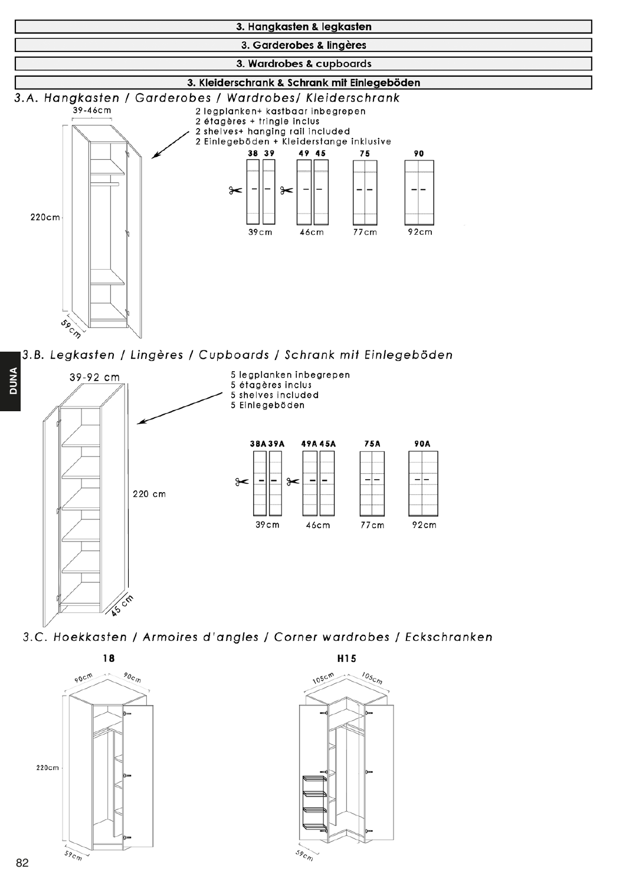

3.B. Legkasten / Lingères / Cupboards / Schrank mit Einlegeböden



3.C. Hoekkasten / Armoires d'angles / Corner wardrobes / Eckschranken



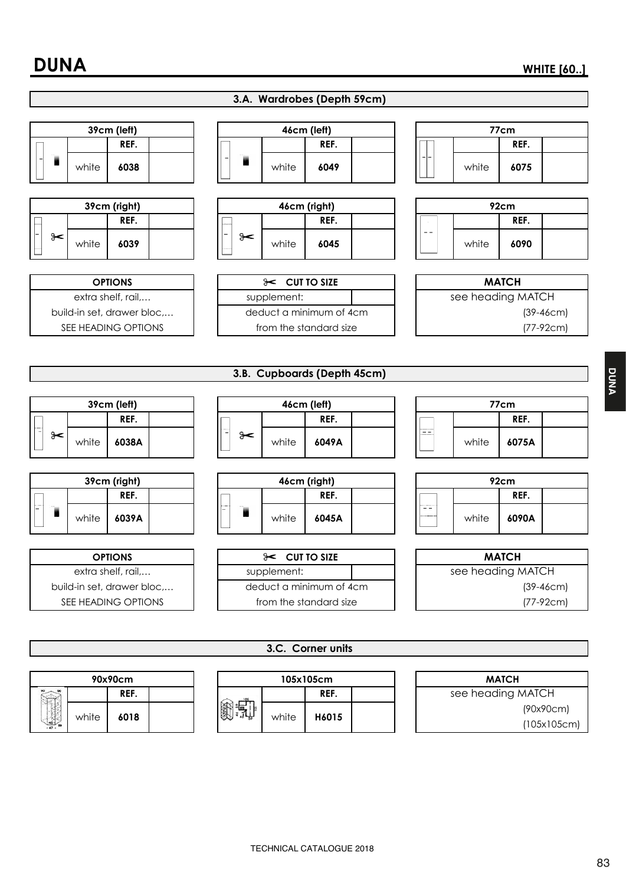

| 90x90cm        |       | 105x105cm |  |               |       | <b>MATCH</b> |       |                   |           |
|----------------|-------|-----------|--|---------------|-------|--------------|-------|-------------------|-----------|
|                |       | REF.      |  |               |       | REF.         |       | see heading MATCH |           |
|                | white | 6018      |  | 簿<br>when you | white |              | H6015 |                   | (90x90cm) |
| 744<br>$-45$ 8 |       |           |  |               |       |              |       | (105x105cm)       |           |
|                |       |           |  |               |       |              |       |                   |           |

**DUNA**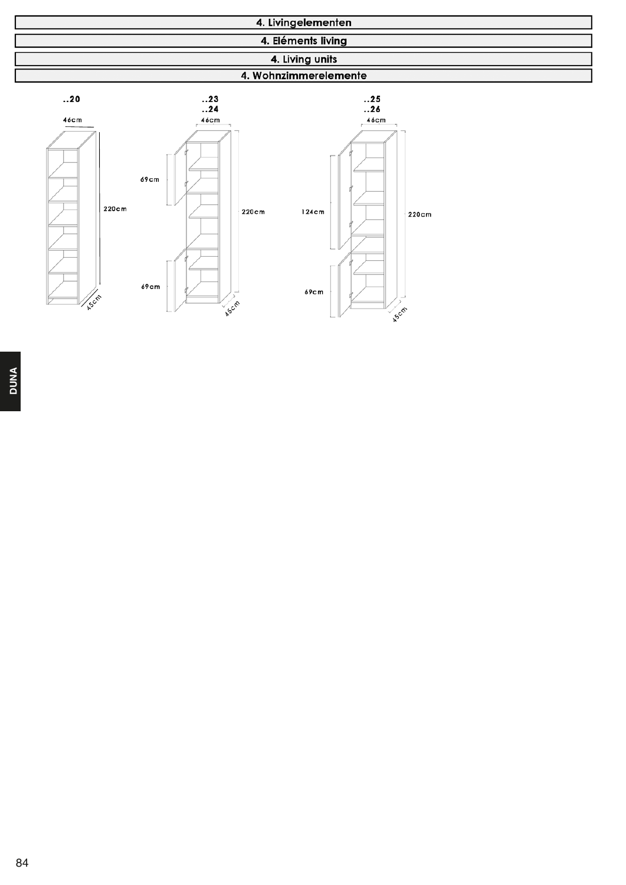